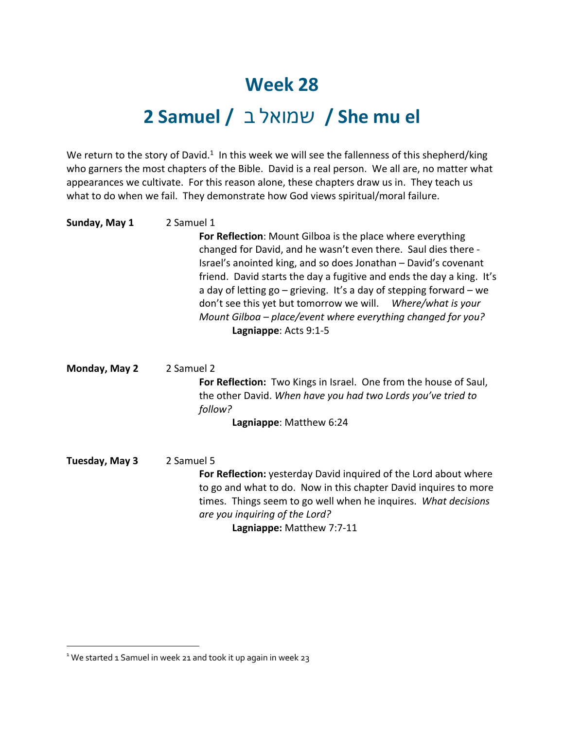## **Week 28**

## **2 Samuel /** לאומש ב **/ She mu el**

We return to the story of David.<sup>1</sup> In this week we will see the fallenness of this shepherd/king who garners the most chapters of the Bible. David is a real person. We all are, no matter what appearances we cultivate. For this reason alone, these chapters draw us in. They teach us what to do when we fail. They demonstrate how God views spiritual/moral failure.

| Sunday, May 1  | 2 Samuel 1<br>For Reflection: Mount Gilboa is the place where everything<br>changed for David, and he wasn't even there. Saul dies there -<br>Israel's anointed king, and so does Jonathan - David's covenant                                                                                             |
|----------------|-----------------------------------------------------------------------------------------------------------------------------------------------------------------------------------------------------------------------------------------------------------------------------------------------------------|
|                | friend. David starts the day a fugitive and ends the day a king. It's<br>a day of letting $go - grieving$ . It's a day of stepping forward $-$ we<br>don't see this yet but tomorrow we will. Where/what is your<br>Mount Gilboa – place/event where everything changed for you?<br>Lagniappe: Acts 9:1-5 |
| Monday, May 2  | 2 Samuel 2<br>For Reflection: Two Kings in Israel. One from the house of Saul,<br>the other David. When have you had two Lords you've tried to<br>follow?<br>Lagniappe: Matthew 6:24                                                                                                                      |
| Tuesday, May 3 | 2 Samuel 5<br>For Reflection: yesterday David inquired of the Lord about where<br>to go and what to do. Now in this chapter David inquires to more<br>times. Things seem to go well when he inquires. What decisions<br>are you inquiring of the Lord?<br>Lagniappe: Matthew 7:7-11                       |

<sup>&</sup>lt;sup>1</sup> We started 1 Samuel in week 21 and took it up again in week 23